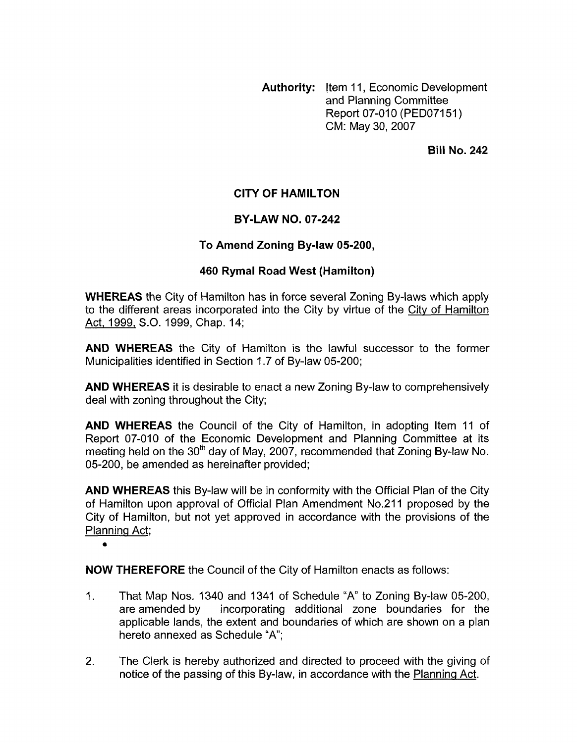**Authority:** Item 11 , Economic Development and Planning Committee Report 07-010 (PED07151) CM: May 30,2007

**Bill No. 242** 

## **CITY OF HAMILTON**

## **BY-LAW NO. 07-242**

## **To Amend Zoning Bylaw 05-200,**

## **460 Rymal Road West (Hamilton)**

**WHEREAS** the City of Hamilton has in force several Zoning By-laws which apply to the different areas incorporated into the City by virtue of the City of Hamilton Act, 1999, S.O. 1999, Chap. 14;

**AND WHEREAS** the City of Hamilton is the lawful successor to the former Municipalities identified in Section 1.7 of By-law 05-200;

**AND WHEREAS** it is desirable to enact a new Zoning By-law to comprehensively deal with zoning throughout the City;

**AND WHEREAS** the Council of the City of Hamilton, in adopting Item 11 of Report 07-010 of the Economic Development and Planning Committee at its meeting held on the 30<sup>th</sup> day of May, 2007, recommended that Zoning By-law No. 05-200, be amended as hereinafter provided;

**AND WHEREAS** this By-law will be in conformity with the Official Plan of the City of Hamilton upon approval of Official Plan Amendment No.211 proposed by the City of Hamilton, but not yet approved in accordance with the provisions of the Planninq Act;

*0* 

**NOW THEREFORE** the Council of the City of Hamilton enacts as follows:

- 1. That Map Nos. 1340 and 1341 of Schedule "A" to Zoning By-law 05-200,<br>are amended by incorporating additional zone boundaries for the incorporating additional zone boundaries for the applicable lands, the extent and boundaries of which are shown on a plan hereto annexed as Schedule "A";
- 2. The Clerk is hereby authorized and directed to proceed with the giving of notice of the passing of this By-law, in accordance with the Planninq Act.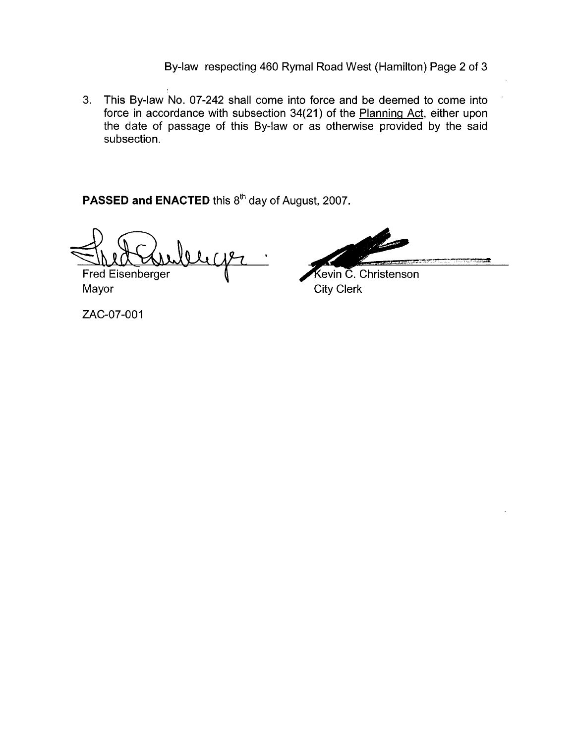By-law respecting 460 Rymal Road West (Hamilton) Page 2 of 3

3. This By-law No. 07-242 shall come into force and be deemed to come into force in accordance with subsection 34(21) of the Planning Act, either upon the date of passage of this By-law or as otherwise provided by the said subsection.

PASSED and ENACTED this 8<sup>th</sup> day of August, 2007.

**b**  Fred Eisenberger

Kevin C. Christenson Mayor City Clerk

ZAC-07-001